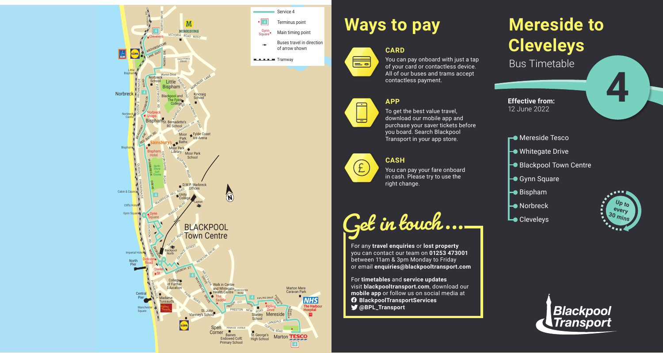# **Mereside to Cleveleys** Bus Timetable

- **Mereside Tesco**
- **►** Whitegate Drive
- Blackpool Town Centre
- $\rightarrow$  **Gynn Square**
- $\blacktriangleright$  Bispham
- **├** Norbreck
- Lo Cleveleys



#### You can pay onboard with just a tap of your card or contactless device. All of our buses and trams accept contactless payment.



**4**



# **Ways to pay**

**CARD**



**APP**

To get the best value travel, download our mobile app and purchase your saver tickets before you board. Search Blackpool Transport in your app store.

### **CASH**



You can pay your fare onboard in cash. Please try to use the right change.

**Get in touch...**

For any **travel enquiries** or **lost property** you can contact our team on **01253 473001** between 11am & 3pm Monday to Friday or email **enquiries@blackpooltransport.com**

For **timetables** and **service updates** visit **blackpooltransport.com**, download our **mobile app** or follow us on social media at **BlackpoolTransportServices @BPL\_Transport**

**Effective from:** 12 June 2022